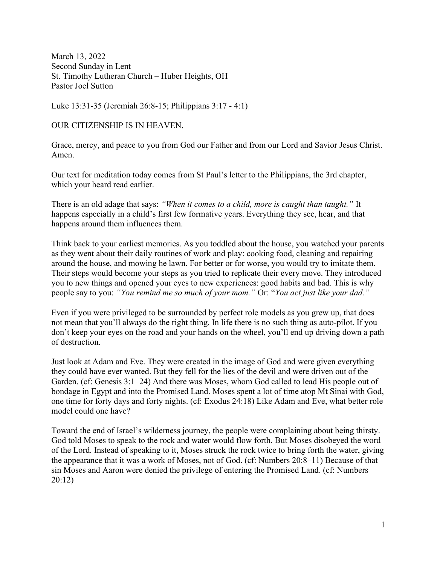March 13, 2022 Second Sunday in Lent St. Timothy Lutheran Church – Huber Heights, OH Pastor Joel Sutton

Luke 13:31-35 (Jeremiah 26:8-15; Philippians 3:17 - 4:1)

OUR CITIZENSHIP IS IN HEAVEN.

Grace, mercy, and peace to you from God our Father and from our Lord and Savior Jesus Christ. Amen.

Our text for meditation today comes from St Paul's letter to the Philippians, the 3rd chapter, which your heard read earlier.

There is an old adage that says: "When it comes to a child, more is caught than taught." It happens especially in a child's first few formative years. Everything they see, hear, and that happens around them influences them.

Think back to your earliest memories. As you toddled about the house, you watched your parents as they went about their daily routines of work and play: cooking food, cleaning and repairing around the house, and mowing he lawn. For better or for worse, you would try to imitate them. Their steps would become your steps as you tried to replicate their every move. They introduced you to new things and opened your eyes to new experiences: good habits and bad. This is why people say to you: "You remind me so much of your mom." Or: "You act just like your dad."

Even if you were privileged to be surrounded by perfect role models as you grew up, that does not mean that you'll always do the right thing. In life there is no such thing as auto-pilot. If you don't keep your eyes on the road and your hands on the wheel, you'll end up driving down a path of destruction.

Just look at Adam and Eve. They were created in the image of God and were given everything they could have ever wanted. But they fell for the lies of the devil and were driven out of the Garden. (cf: Genesis 3:1–24) And there was Moses, whom God called to lead His people out of bondage in Egypt and into the Promised Land. Moses spent a lot of time atop Mt Sinai with God, one time for forty days and forty nights. (cf: Exodus 24:18) Like Adam and Eve, what better role model could one have?

Toward the end of Israel's wilderness journey, the people were complaining about being thirsty. God told Moses to speak to the rock and water would flow forth. But Moses disobeyed the word of the Lord. Instead of speaking to it, Moses struck the rock twice to bring forth the water, giving the appearance that it was a work of Moses, not of God. (cf: Numbers 20:8–11) Because of that sin Moses and Aaron were denied the privilege of entering the Promised Land. (cf: Numbers 20:12)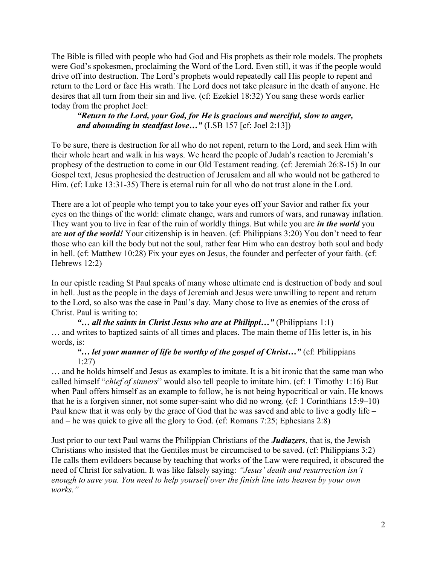The Bible is filled with people who had God and His prophets as their role models. The prophets were God's spokesmen, proclaiming the Word of the Lord. Even still, it was if the people would drive off into destruction. The Lord's prophets would repeatedly call His people to repent and return to the Lord or face His wrath. The Lord does not take pleasure in the death of anyone. He desires that all turn from their sin and live. (cf: Ezekiel 18:32) You sang these words earlier today from the prophet Joel:

## "Return to the Lord, your God, for He is gracious and merciful, slow to anger, and abounding in steadfast love..." (LSB 157 [cf: Joel 2:13])

To be sure, there is destruction for all who do not repent, return to the Lord, and seek Him with their whole heart and walk in his ways. We heard the people of Judah's reaction to Jeremiah's prophesy of the destruction to come in our Old Testament reading. (cf: Jeremiah 26:8-15) In our Gospel text, Jesus prophesied the destruction of Jerusalem and all who would not be gathered to Him. (cf: Luke 13:31-35) There is eternal ruin for all who do not trust alone in the Lord.

There are a lot of people who tempt you to take your eyes off your Savior and rather fix your eyes on the things of the world: climate change, wars and rumors of wars, and runaway inflation. They want you to live in fear of the ruin of worldly things. But while you are *in the world* you are not of the world! Your citizenship is in heaven. (cf: Philippians 3:20) You don't need to fear those who can kill the body but not the soul, rather fear Him who can destroy both soul and body in hell. (cf: Matthew 10:28) Fix your eyes on Jesus, the founder and perfecter of your faith. (cf: Hebrews 12:2)

In our epistle reading St Paul speaks of many whose ultimate end is destruction of body and soul in hell. Just as the people in the days of Jeremiah and Jesus were unwilling to repent and return to the Lord, so also was the case in Paul's day. Many chose to live as enemies of the cross of Christ. Paul is writing to:

"... all the saints in Christ Jesus who are at Philippi..." (Philippians 1:1) … and writes to baptized saints of all times and places. The main theme of His letter is, in his words, is:

## "... let your manner of life be worthy of the gospel of Christ..." (cf: Philippians 1:27)

… and he holds himself and Jesus as examples to imitate. It is a bit ironic that the same man who called himself "chief of sinners" would also tell people to imitate him. (cf: 1 Timothy 1:16) But when Paul offers himself as an example to follow, he is not being hypocritical or vain. He knows that he is a forgiven sinner, not some super-saint who did no wrong. (cf: 1 Corinthians 15:9–10) Paul knew that it was only by the grace of God that he was saved and able to live a godly life – and – he was quick to give all the glory to God. (cf: Romans 7:25; Ephesians 2:8)

Just prior to our text Paul warns the Philippian Christians of the **Judiazers**, that is, the Jewish Christians who insisted that the Gentiles must be circumcised to be saved. (cf: Philippians 3:2) He calls them evildoers because by teaching that works of the Law were required, it obscured the need of Christ for salvation. It was like falsely saying: "Jesus' death and resurrection isn't enough to save you. You need to help yourself over the finish line into heaven by your own works."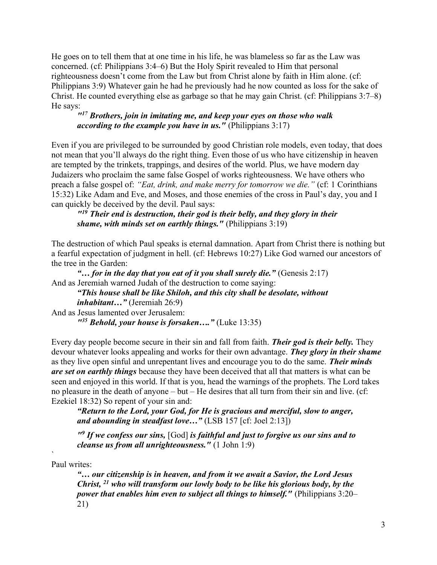He goes on to tell them that at one time in his life, he was blameless so far as the Law was concerned. (cf: Philippians 3:4–6) But the Holy Spirit revealed to Him that personal righteousness doesn't come from the Law but from Christ alone by faith in Him alone. (cf: Philippians 3:9) Whatever gain he had he previously had he now counted as loss for the sake of Christ. He counted everything else as garbage so that he may gain Christ. (cf: Philippians 3:7–8) He says:

## $117$  Brothers, join in imitating me, and keep your eyes on those who walk according to the example you have in us." (Philippians  $3:17$ )

Even if you are privileged to be surrounded by good Christian role models, even today, that does not mean that you'll always do the right thing. Even those of us who have citizenship in heaven are tempted by the trinkets, trappings, and desires of the world. Plus, we have modern day Judaizers who proclaim the same false Gospel of works righteousness. We have others who preach a false gospel of: "Eat, drink, and make merry for tomorrow we die." (cf: 1 Corinthians 15:32) Like Adam and Eve, and Moses, and those enemies of the cross in Paul's day, you and I can quickly be deceived by the devil. Paul says:

 $119$  Their end is destruction, their god is their belly, and they glory in their shame, with minds set on earthly things." (Philippians  $3:19$ )

The destruction of which Paul speaks is eternal damnation. Apart from Christ there is nothing but a fearful expectation of judgment in hell. (cf: Hebrews 10:27) Like God warned our ancestors of the tree in the Garden:

"... for in the day that you eat of it you shall surely die." (Genesis  $2:17$ ) And as Jeremiah warned Judah of the destruction to come saying: "This house shall be like Shiloh, and this city shall be desolate, without inhabitant…" (Jeremiah 26:9) And as Jesus lamented over Jerusalem:  $135$  Behold, your house is forsaken...." (Luke 13:35)

Every day people become secure in their sin and fall from faith. **Their god is their belly.** They devour whatever looks appealing and works for their own advantage. They glory in their shame as they live open sinful and unrepentant lives and encourage you to do the same. Their minds are set on earthly things because they have been deceived that all that matters is what can be seen and enjoyed in this world. If that is you, head the warnings of the prophets. The Lord takes no pleasure in the death of anyone – but – He desires that all turn from their sin and live. (cf: Ezekiel 18:32) So repent of your sin and:

"Return to the Lord, your God, for He is gracious and merciful, slow to anger, and abounding in steadfast love..." (LSB 157 [cf: Joel 2:13])

 $"$ <sup>9</sup> If we confess our sins, [God] is faithful and just to forgive us our sins and to cleanse us from all unrighteousness." (1 John 1:9)

Paul writes:

 $\mathcal{L}_{\mathcal{L}}$ 

"… our citizenship is in heaven, and from it we await a Savior, the Lord Jesus Christ,  $^{21}$  who will transform our lowly body to be like his glorious body, by the power that enables him even to subject all things to himself." (Philippians 3:20– 21)